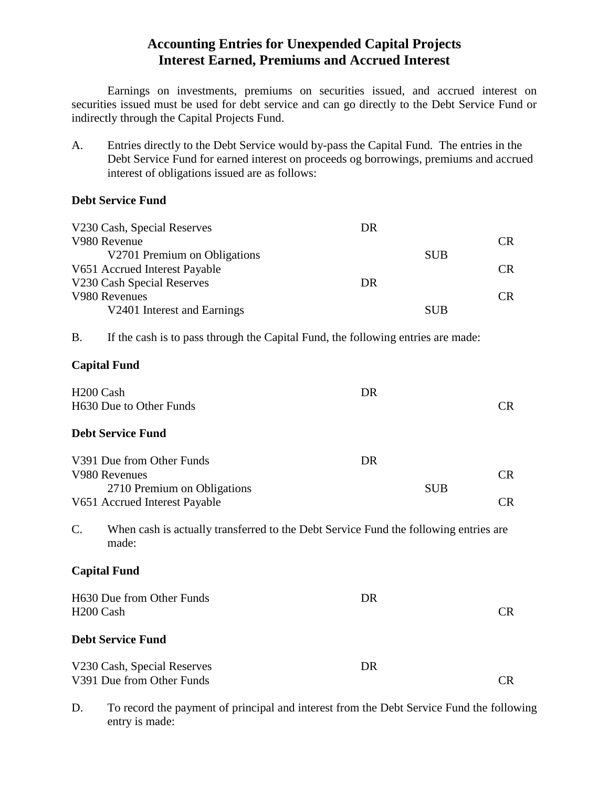# **Accounting Entries for Unexpended Capital Projects Interest Earned, Premiums and Accrued Interest**

Earnings on investments, premiums on securities issued, and accrued interest on securities issued must be used for debt service and can go directly to the Debt Service Fund or indirectly through the Capital Projects Fund.

A. Entries directly to the Debt Service would by-pass the Capital Fund. The entries in the Debt Service Fund for earned interest on proceeds og borrowings, premiums and accrued interest of obligations issued are as follows:

# **Debt Service Fund**

|                       | V230 Cash, Special Reserves                                                                   | <b>DR</b> |            |           |
|-----------------------|-----------------------------------------------------------------------------------------------|-----------|------------|-----------|
|                       | V980 Revenue                                                                                  |           |            | <b>CR</b> |
|                       | V2701 Premium on Obligations                                                                  |           | <b>SUB</b> |           |
|                       | V651 Accrued Interest Payable                                                                 |           |            | <b>CR</b> |
|                       | V230 Cash Special Reserves                                                                    | <b>DR</b> |            |           |
|                       | V980 Revenues                                                                                 |           |            | <b>CR</b> |
|                       | V2401 Interest and Earnings                                                                   |           | <b>SUB</b> |           |
| <b>B.</b>             | If the cash is to pass through the Capital Fund, the following entries are made:              |           |            |           |
|                       | <b>Capital Fund</b>                                                                           |           |            |           |
| H <sub>200</sub> Cash |                                                                                               | <b>DR</b> |            |           |
|                       | H630 Due to Other Funds                                                                       |           |            | <b>CR</b> |
|                       |                                                                                               |           |            |           |
|                       | <b>Debt Service Fund</b>                                                                      |           |            |           |
|                       | V391 Due from Other Funds                                                                     | <b>DR</b> |            |           |
|                       | V980 Revenues                                                                                 |           |            | CR        |
|                       | 2710 Premium on Obligations                                                                   |           | <b>SUB</b> |           |
|                       | V651 Accrued Interest Payable                                                                 |           |            | <b>CR</b> |
| $\mathcal{C}$ .       | When cash is actually transferred to the Debt Service Fund the following entries are<br>made: |           |            |           |
|                       | <b>Capital Fund</b>                                                                           |           |            |           |
|                       | H630 Due from Other Funds                                                                     | <b>DR</b> |            |           |
| H <sub>200</sub> Cash |                                                                                               |           |            | CR        |
|                       |                                                                                               |           |            |           |
|                       | <b>Debt Service Fund</b>                                                                      |           |            |           |
|                       |                                                                                               | <b>DR</b> |            |           |
|                       | V230 Cash, Special Reserves<br>V391 Due from Other Funds                                      |           |            | <b>CR</b> |
|                       |                                                                                               |           |            |           |

D. To record the payment of principal and interest from the Debt Service Fund the following entry is made: